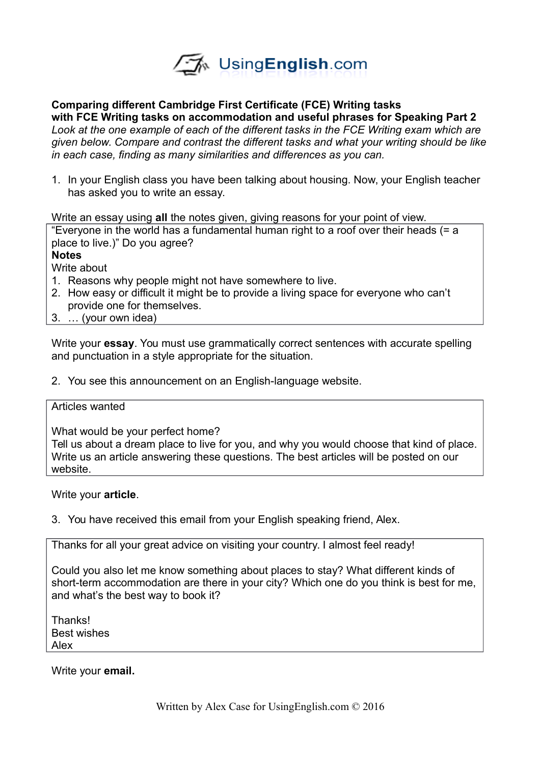

## **Comparing different Cambridge First Certificate (FCE) Writing tasks with FCE Writing tasks on accommodation and useful phrases for Speaking Part 2** *Look at the one example of each of the different tasks in the FCE Writing exam which are given below. Compare and contrast the different tasks and what your writing should be like in each case, finding as many similarities and differences as you can.*

1. In your English class you have been talking about housing. Now, your English teacher has asked you to write an essay.

Write an essay using **all** the notes given, giving reasons for your point of view.

"Everyone in the world has a fundamental human right to a roof over their heads (= a place to live.)" Do you agree?

**Notes**

Write about

- 1. Reasons why people might not have somewhere to live.
- 2. How easy or difficult it might be to provide a living space for everyone who can't provide one for themselves.
- 3. … (your own idea)

Write your **essay**. You must use grammatically correct sentences with accurate spelling and punctuation in a style appropriate for the situation.

2. You see this announcement on an English-language website.

## Articles wanted

What would be your perfect home?

Tell us about a dream place to live for you, and why you would choose that kind of place. Write us an article answering these questions. The best articles will be posted on our website.

#### Write your **article**.

3. You have received this email from your English speaking friend, Alex.

Thanks for all your great advice on visiting your country. I almost feel ready!

Could you also let me know something about places to stay? What different kinds of short-term accommodation are there in your city? Which one do you think is best for me, and what's the best way to book it?

**Thanks!** Best wishes Alex

Write your **email.**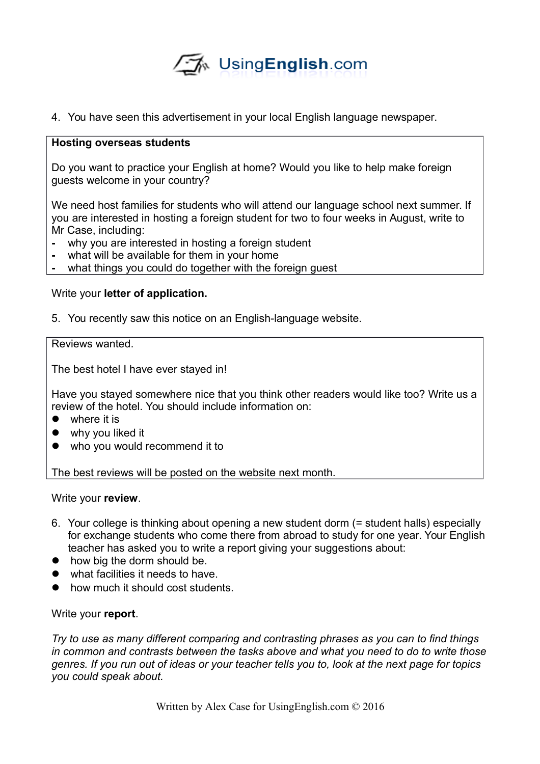

4. You have seen this advertisement in your local English language newspaper.

## **Hosting overseas students**

Do you want to practice your English at home? Would you like to help make foreign guests welcome in your country?

We need host families for students who will attend our language school next summer. If you are interested in hosting a foreign student for two to four weeks in August, write to Mr Case, including:

- **-** why you are interested in hosting a foreign student
- **-** what will be available for them in your home
- **-** what things you could do together with the foreign guest

# Write your **letter of application.**

5. You recently saw this notice on an English-language website.

## Reviews wanted.

The best hotel I have ever stayed in!

Have you stayed somewhere nice that you think other readers would like too? Write us a review of the hotel. You should include information on:

- where it is
- why you liked it
- who you would recommend it to

The best reviews will be posted on the website next month.

Write your **review**.

- 6. Your college is thinking about opening a new student dorm (= student halls) especially for exchange students who come there from abroad to study for one year. Your English teacher has asked you to write a report giving your suggestions about:
- how big the dorm should be.
- what facilities it needs to have.
- how much it should cost students.

# Write your **report**.

*Try to use as many different comparing and contrasting phrases as you can to find things in common and contrasts between the tasks above and what you need to do to write those genres. If you run out of ideas or your teacher tells you to, look at the next page for topics you could speak about.*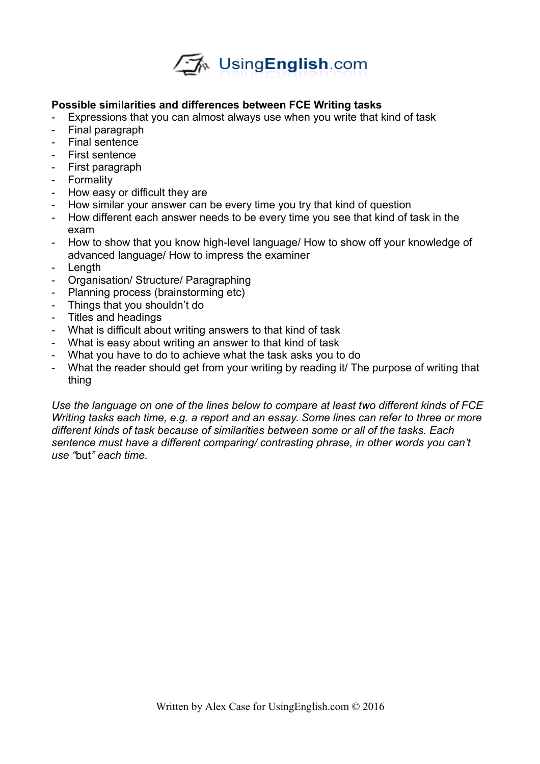

# **Possible similarities and differences between FCE Writing tasks**

- Expressions that you can almost always use when you write that kind of task
- Final paragraph
- Final sentence
- First sentence
- First paragraph
- Formality
- How easy or difficult they are
- How similar your answer can be every time you try that kind of question
- How different each answer needs to be every time you see that kind of task in the exam
- How to show that you know high-level language/ How to show off your knowledge of advanced language/ How to impress the examiner
- Length
- Organisation/ Structure/ Paragraphing
- Planning process (brainstorming etc)
- Things that you shouldn't do
- Titles and headings
- What is difficult about writing answers to that kind of task
- What is easy about writing an answer to that kind of task
- What you have to do to achieve what the task asks you to do
- What the reader should get from your writing by reading it/ The purpose of writing that thing

*Use the language on one of the lines below to compare at least two different kinds of FCE Writing tasks each time, e.g. a report and an essay. Some lines can refer to three or more different kinds of task because of similarities between some or all of the tasks. Each sentence must have a different comparing/ contrasting phrase, in other words you can't use "*but*" each time.*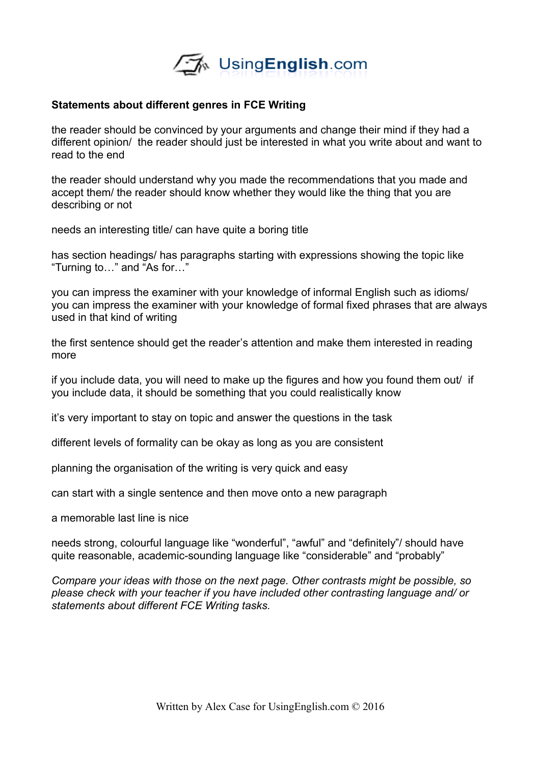

## **Statements about different genres in FCE Writing**

the reader should be convinced by your arguments and change their mind if they had a different opinion/ the reader should just be interested in what you write about and want to read to the end

the reader should understand why you made the recommendations that you made and accept them/ the reader should know whether they would like the thing that you are describing or not

needs an interesting title/ can have quite a boring title

has section headings/ has paragraphs starting with expressions showing the topic like "Turning to…" and "As for…"

you can impress the examiner with your knowledge of informal English such as idioms/ you can impress the examiner with your knowledge of formal fixed phrases that are always used in that kind of writing

the first sentence should get the reader's attention and make them interested in reading more

if you include data, you will need to make up the figures and how you found them out/ if you include data, it should be something that you could realistically know

it's very important to stay on topic and answer the questions in the task

different levels of formality can be okay as long as you are consistent

planning the organisation of the writing is very quick and easy

can start with a single sentence and then move onto a new paragraph

a memorable last line is nice

needs strong, colourful language like "wonderful", "awful" and "definitely"/ should have quite reasonable, academic-sounding language like "considerable" and "probably"

*Compare your ideas with those on the next page. Other contrasts might be possible, so please check with your teacher if you have included other contrasting language and/ or statements about different FCE Writing tasks.*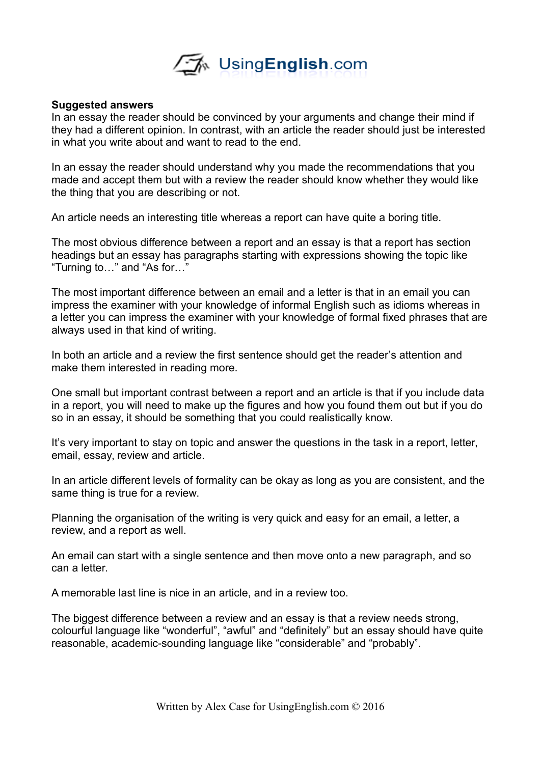

#### **Suggested answers**

In an essay the reader should be convinced by your arguments and change their mind if they had a different opinion. In contrast, with an article the reader should just be interested in what you write about and want to read to the end.

In an essay the reader should understand why you made the recommendations that you made and accept them but with a review the reader should know whether they would like the thing that you are describing or not.

An article needs an interesting title whereas a report can have quite a boring title.

The most obvious difference between a report and an essay is that a report has section headings but an essay has paragraphs starting with expressions showing the topic like "Turning to…" and "As for…"

The most important difference between an email and a letter is that in an email you can impress the examiner with your knowledge of informal English such as idioms whereas in a letter you can impress the examiner with your knowledge of formal fixed phrases that are always used in that kind of writing.

In both an article and a review the first sentence should get the reader's attention and make them interested in reading more.

One small but important contrast between a report and an article is that if you include data in a report, you will need to make up the figures and how you found them out but if you do so in an essay, it should be something that you could realistically know.

It's very important to stay on topic and answer the questions in the task in a report, letter, email, essay, review and article.

In an article different levels of formality can be okay as long as you are consistent, and the same thing is true for a review.

Planning the organisation of the writing is very quick and easy for an email, a letter, a review, and a report as well.

An email can start with a single sentence and then move onto a new paragraph, and so can a letter.

A memorable last line is nice in an article, and in a review too.

The biggest difference between a review and an essay is that a review needs strong, colourful language like "wonderful", "awful" and "definitely" but an essay should have quite reasonable, academic-sounding language like "considerable" and "probably".